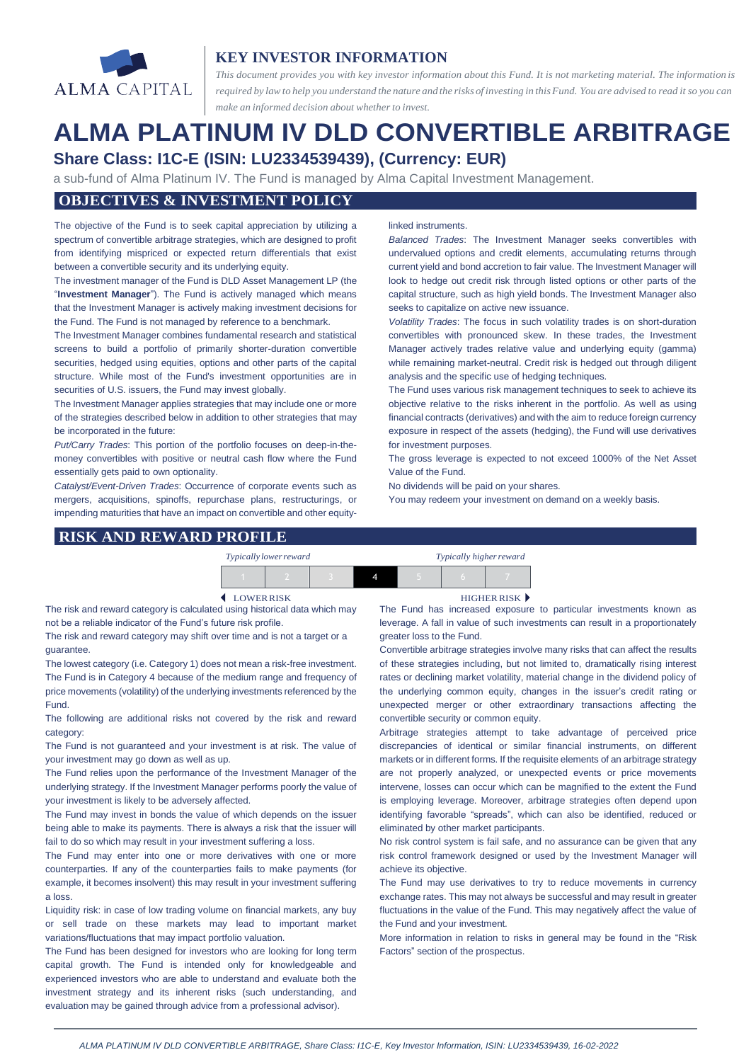

# **KEY INVESTOR INFORMATION**

*This document provides you with key investor information about this Fund. It is not marketing material. The information is* required by law to help you understand the nature and the risks of investing in this Fund. You are advised to read it so you can *make an informed decision about whether to invest.*

# **ALMA PLATINUM IV DLD CONVERTIBLE ARBITRAGE Share Class: I1C-E (ISIN: LU2334539439), (Currency: EUR)**

a sub-fund of Alma Platinum IV. The Fund is managed by Alma Capital Investment Management.

## **OBJECTIVES & INVESTMENT POLICY**

The objective of the Fund is to seek capital appreciation by utilizing a spectrum of convertible arbitrage strategies, which are designed to profit from identifying mispriced or expected return differentials that exist between a convertible security and its underlying equity.

The investment manager of the Fund is DLD Asset Management LP (the "**Investment Manager**"). The Fund is actively managed which means that the Investment Manager is actively making investment decisions for the Fund. The Fund is not managed by reference to a benchmark.

The Investment Manager combines fundamental research and statistical screens to build a portfolio of primarily shorter-duration convertible securities, hedged using equities, options and other parts of the capital structure. While most of the Fund's investment opportunities are in securities of U.S. issuers, the Fund may invest globally.

The Investment Manager applies strategies that may include one or more of the strategies described below in addition to other strategies that may be incorporated in the future:

*Put/Carry Trades*: This portion of the portfolio focuses on deep-in-themoney convertibles with positive or neutral cash flow where the Fund essentially gets paid to own optionality.

*Catalyst/Event-Driven Trades*: Occurrence of corporate events such as mergers, acquisitions, spinoffs, repurchase plans, restructurings, or impending maturities that have an impact on convertible and other equity-

#### linked instruments.

*Balanced Trades*: The Investment Manager seeks convertibles with undervalued options and credit elements, accumulating returns through current yield and bond accretion to fair value. The Investment Manager will look to hedge out credit risk through listed options or other parts of the capital structure, such as high yield bonds. The Investment Manager also seeks to capitalize on active new issuance.

*Volatility Trades*: The focus in such volatility trades is on short-duration convertibles with pronounced skew. In these trades, the Investment Manager actively trades relative value and underlying equity (gamma) while remaining market-neutral. Credit risk is hedged out through diligent analysis and the specific use of hedging techniques.

The Fund uses various risk management techniques to seek to achieve its objective relative to the risks inherent in the portfolio. As well as using financial contracts (derivatives) and with the aim to reduce foreign currency exposure in respect of the assets (hedging), the Fund will use derivatives for investment purposes.

The gross leverage is expected to not exceed 1000% of the Net Asset Value of the Fund.

No dividends will be paid on your shares.

You may redeem your investment on demand on a weekly basis.

#### **RISK AND REWARD PROFILE**

| Typically lower reward |  | Typically higher reward |  |  |  |
|------------------------|--|-------------------------|--|--|--|
|                        |  |                         |  |  |  |

The risk and reward category is calculated using historical data which may not be a reliable indicator of the Fund's future risk profile.

The risk and reward category may shift over time and is not a target or a guarantee.

The lowest category (i.e. Category 1) does not mean a risk-free investment. The Fund is in Category 4 because of the medium range and frequency of price movements (volatility) of the underlying investments referenced by the Fund.

The following are additional risks not covered by the risk and reward category:

The Fund is not guaranteed and your investment is at risk. The value of your investment may go down as well as up.

The Fund relies upon the performance of the Investment Manager of the underlying strategy. If the Investment Manager performs poorly the value of your investment is likely to be adversely affected.

The Fund may invest in bonds the value of which depends on the issuer being able to make its payments. There is always a risk that the issuer will fail to do so which may result in your investment suffering a loss.

The Fund may enter into one or more derivatives with one or more counterparties. If any of the counterparties fails to make payments (for example, it becomes insolvent) this may result in your investment suffering a loss.

Liquidity risk: in case of low trading volume on financial markets, any buy or sell trade on these markets may lead to important market variations/fluctuations that may impact portfolio valuation.

The Fund has been designed for investors who are looking for long term capital growth. The Fund is intended only for knowledgeable and experienced investors who are able to understand and evaluate both the investment strategy and its inherent risks (such understanding, and evaluation may be gained through advice from a professional advisor).

LOWERRISK HIGHER RISK

The Fund has increased exposure to particular investments known as leverage. A fall in value of such investments can result in a proportionately greater loss to the Fund.

Convertible arbitrage strategies involve many risks that can affect the results of these strategies including, but not limited to, dramatically rising interest rates or declining market volatility, material change in the dividend policy of the underlying common equity, changes in the issuer's credit rating or unexpected merger or other extraordinary transactions affecting the convertible security or common equity.

Arbitrage strategies attempt to take advantage of perceived price discrepancies of identical or similar financial instruments, on different markets or in different forms. If the requisite elements of an arbitrage strategy are not properly analyzed, or unexpected events or price movements intervene, losses can occur which can be magnified to the extent the Fund is employing leverage. Moreover, arbitrage strategies often depend upon identifying favorable "spreads", which can also be identified, reduced or eliminated by other market participants.

No risk control system is fail safe, and no assurance can be given that any risk control framework designed or used by the Investment Manager will achieve its objective.

The Fund may use derivatives to try to reduce movements in currency exchange rates. This may not always be successful and may result in greater fluctuations in the value of the Fund. This may negatively affect the value of the Fund and your investment.

More information in relation to risks in general may be found in the "Risk Factors" section of the prospectus.